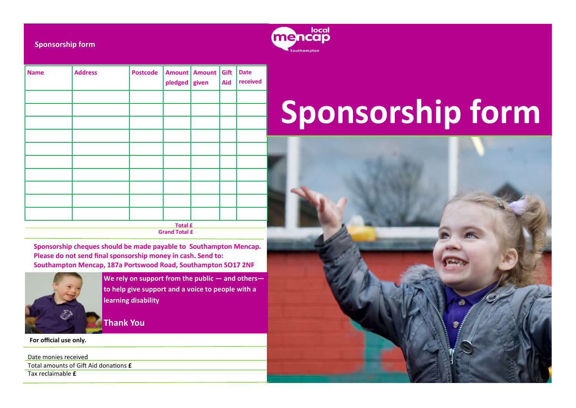

**Sponsorship form**

| <b>Name</b>                            | <b>Address</b> | <b>Postcode</b> | Amount<br>pledged | <b>Amount</b><br>given | Gift<br>Aid | <b>Date</b><br>received |  |
|----------------------------------------|----------------|-----------------|-------------------|------------------------|-------------|-------------------------|--|
|                                        |                |                 |                   |                        |             |                         |  |
|                                        |                |                 |                   |                        |             |                         |  |
|                                        |                |                 |                   |                        |             |                         |  |
|                                        |                |                 |                   |                        |             |                         |  |
|                                        |                |                 |                   |                        |             |                         |  |
|                                        |                |                 |                   |                        |             |                         |  |
|                                        |                |                 |                   |                        |             |                         |  |
|                                        |                |                 |                   |                        |             |                         |  |
|                                        |                |                 |                   |                        |             |                         |  |
|                                        |                |                 |                   |                        |             |                         |  |
| <b>Total £</b><br><b>Grand Total £</b> |                |                 |                   |                        |             |                         |  |

**Sponsorship cheques should be made payable to Southampton Mencap. Please do not send final sponsorship money in cash. Send to: Southampton Mencap, 187a Portswood Road, Southampton SO17 2NF** 



**We rely on support from the public — and others to help give support and a voice to people with a learning disability** 

**Thank You**

**For official use only.**

Date monies received Total amounts of Gift Aid donations **£** Tax reclaimable **£**

# **Sponsorship form**